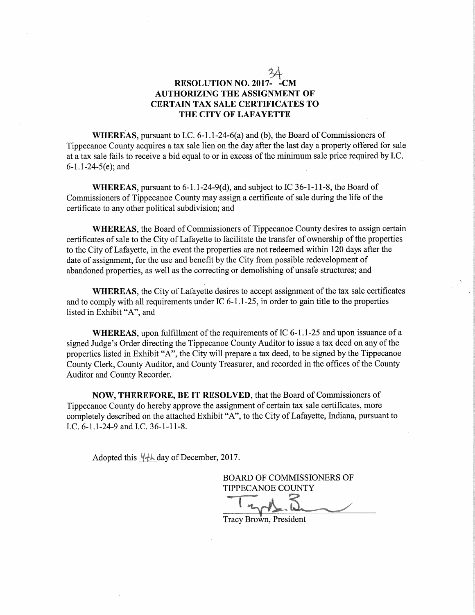## RESOLUTION NO. 2017- - CM AUTHORIZING THE ASSIGNMENT OF CERTAIN TAX SALE CERTIFICATES TO THE CITY OF LAFAYETTE

WHEREAS, pursuant to I.C.  $6-1.1-24-6(a)$  and (b), the Board of Commissioners of Tippecanoe County acquires <sup>a</sup> tax sale lien on the day after the last day <sup>a</sup> property offered for sale at a tax sale fails to receive a bid equal to or in excess of the minimum sale price required by I.C. 6—1.1-24-5(e); and

WHEREAS, pursuant to 6-1.1-24-9(d), and subject to IC 36-1-11-8, the Board of Commissioners of Tippecanoe County may assign a certificate of sale during the life of the certificate to any other political subdivision; and

WHEREAS, the Board of Commissioners of Tippecanoe County desires to assign certain certificates of sale to the City of Lafayette to facilitate the transfer of ownership of the properties to the City of Lafayette, in the event the properties are not redeemed Within 120 days after the date of assignment, for the use and benefit by the City from possible redevelopment of abandoned properties, as well as the correcting or demolishing of unsafe structures; and

WHEREAS, the City of Lafayette desires to accept assignment of the tax sale certificates and to comply with all requirements under  $IC$  6-1.1-25, in order to gain title to the properties listed in Exhibit "A", and

WHEREAS, upon fulfillment of the requirements of IC 6-1.1-25 and upon issuance of a signed Judge's Order directing the Tippecanoe County Auditor to issue a tax deed on any of the properties listed in Exhibit "A", the City will prepare <sup>a</sup> tax deed, to be signed by the Tippecanoe County Clerk, County Auditor, and County Treasurer, and recorded in the offices of the County Auditor and County Recorder.

NOW, THEREFORE, BE IT RESOLVED, that the Board of Commissioners of Tippecanoe County do hereby approve the assignment of certain tax sale certificates, more completely described on the attached Exhibit "A", to the City of Lafayette, Indiana, pursuant to LC. 6—1.1-24-9 and LC. 36—1-11-8.

Adopted this  $\frac{1}{4}$  day of December, 2017.

BOARD OF COMMISSIONERS OF TIPPECANOE COUNTY With the Company of the Company of the Company of the Company of the Company of the Company of the Company of the Company of the Company of the Company of the Company of the Company of the Company of the Company of the Com

€35 Wra-

Tracy Brown, President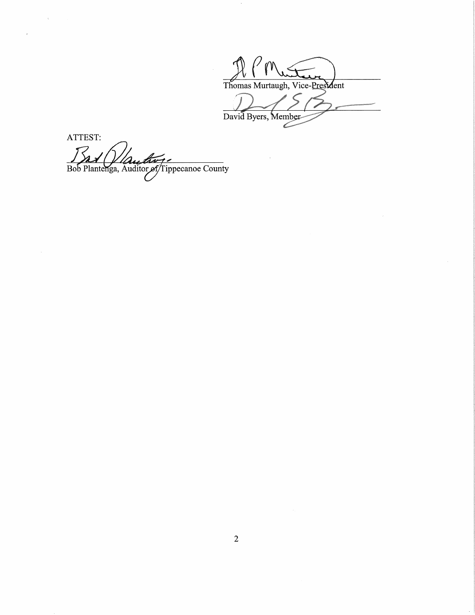Thomas Murtaugh, Vice-President David Byers, Member

ATTEST: Bob Plantenga, Auditor of Tippecanoe County